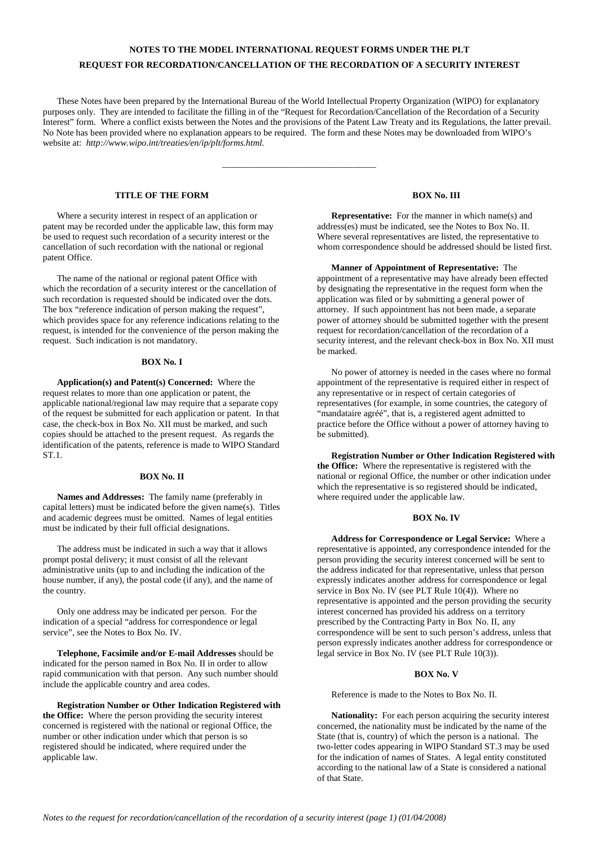## **NOTES TO THE MODEL INTERNATIONAL REQUEST FORMS UNDER THE PLT REQUEST FOR RECORDATION/CANCELLATION OF THE RECORDATION OF A SECURITY INTEREST**

These Notes have been prepared by the International Bureau of the World Intellectual Property Organization (WIPO) for explanatory purposes only. They are intended to facilitate the filling in of the "Request for Recordation/Cancellation of the Recordation of a Security Interest" form. Where a conflict exists between the Notes and the provisions of the Patent Law Treaty and its Regulations, the latter prevail. No Note has been provided where no explanation appears to be required. The form and these Notes may be downloaded from WIPO's website at: *http://www.wipo.int/treaties/en/ip/plt/forms.html.*

\_\_\_\_\_\_\_\_\_\_\_\_\_\_\_\_\_\_\_\_\_\_\_\_\_\_\_\_\_\_\_\_\_\_

## **TITLE OF THE FORM**

Where a security interest in respect of an application or patent may be recorded under the applicable law, this form may be used to request such recordation of a security interest or the cancellation of such recordation with the national or regional patent Office.

The name of the national or regional patent Office with which the recordation of a security interest or the cancellation of such recordation is requested should be indicated over the dots. The box "reference indication of person making the request", which provides space for any reference indications relating to the request, is intended for the convenience of the person making the request. Such indication is not mandatory.

#### **BOX No. I**

**Application(s) and Patent(s) Concerned:** Where the request relates to more than one application or patent, the applicable national/regional law may require that a separate copy of the request be submitted for each application or patent. In that case, the check-box in Box No. XII must be marked, and such copies should be attached to the present request. As regards the identification of the patents, reference is made to WIPO Standard ST.1.

#### **BOX No. II**

**Names and Addresses:** The family name (preferably in capital letters) must be indicated before the given name(s). Titles and academic degrees must be omitted. Names of legal entities must be indicated by their full official designations.

The address must be indicated in such a way that it allows prompt postal delivery; it must consist of all the relevant administrative units (up to and including the indication of the house number, if any), the postal code (if any), and the name of the country.

Only one address may be indicated per person. For the indication of a special "address for correspondence or legal service", see the Notes to Box No. IV.

**Telephone, Facsimile and/or E-mail Addresses** should be indicated for the person named in Box No. II in order to allow rapid communication with that person. Any such number should include the applicable country and area codes.

**Registration Number or Other Indication Registered with the Office:** Where the person providing the security interest concerned is registered with the national or regional Office, the number or other indication under which that person is so registered should be indicated, where required under the applicable law.

## **BOX No. III**

**Representative:** For the manner in which name(s) and address(es) must be indicated, see the Notes to Box No. II. Where several representatives are listed, the representative to whom correspondence should be addressed should be listed first.

**Manner of Appointment of Representative:** The appointment of a representative may have already been effected by designating the representative in the request form when the application was filed or by submitting a general power of attorney. If such appointment has not been made, a separate power of attorney should be submitted together with the present request for recordation/cancellation of the recordation of a security interest, and the relevant check-box in Box No. XII must be marked.

No power of attorney is needed in the cases where no formal appointment of the representative is required either in respect of any representative or in respect of certain categories of representatives (for example, in some countries, the category of "mandataire agréé", that is, a registered agent admitted to practice before the Office without a power of attorney having to be submitted).

**Registration Number or Other Indication Registered with the Office:** Where the representative is registered with the national or regional Office, the number or other indication under which the representative is so registered should be indicated, where required under the applicable law.

### **BOX No. IV**

**Address for Correspondence or Legal Service:** Where a representative is appointed, any correspondence intended for the person providing the security interest concerned will be sent to the address indicated for that representative, unless that person expressly indicates another address for correspondence or legal service in Box No. IV (see PLT Rule 10(4)). Where no representative is appointed and the person providing the security interest concerned has provided his address on a territory prescribed by the Contracting Party in Box No. II, any correspondence will be sent to such person's address, unless that person expressly indicates another address for correspondence or legal service in Box No. IV (see PLT Rule 10(3)).

#### **BOX No. V**

Reference is made to the Notes to Box No. II.

**Nationality:** For each person acquiring the security interest concerned, the nationality must be indicated by the name of the State (that is, country) of which the person is a national. The two-letter codes appearing in WIPO Standard ST.3 may be used for the indication of names of States. A legal entity constituted according to the national law of a State is considered a national of that State.